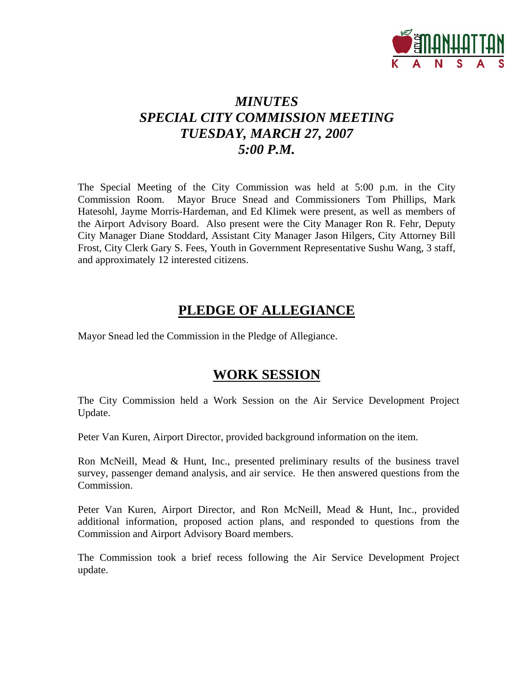

# *MINUTES SPECIAL CITY COMMISSION MEETING TUESDAY, MARCH 27, 2007 5:00 P.M.*

The Special Meeting of the City Commission was held at 5:00 p.m. in the City Commission Room. Mayor Bruce Snead and Commissioners Tom Phillips, Mark Hatesohl, Jayme Morris-Hardeman, and Ed Klimek were present, as well as members of the Airport Advisory Board. Also present were the City Manager Ron R. Fehr, Deputy City Manager Diane Stoddard, Assistant City Manager Jason Hilgers, City Attorney Bill Frost, City Clerk Gary S. Fees, Youth in Government Representative Sushu Wang, 3 staff, and approximately 12 interested citizens.

### **PLEDGE OF ALLEGIANCE**

Mayor Snead led the Commission in the Pledge of Allegiance.

#### **WORK SESSION**

The City Commission held a Work Session on the Air Service Development Project Update.

Peter Van Kuren, Airport Director, provided background information on the item.

Ron McNeill, Mead & Hunt, Inc., presented preliminary results of the business travel survey, passenger demand analysis, and air service. He then answered questions from the Commission.

Peter Van Kuren, Airport Director, and Ron McNeill, Mead & Hunt, Inc., provided additional information, proposed action plans, and responded to questions from the Commission and Airport Advisory Board members.

The Commission took a brief recess following the Air Service Development Project update.